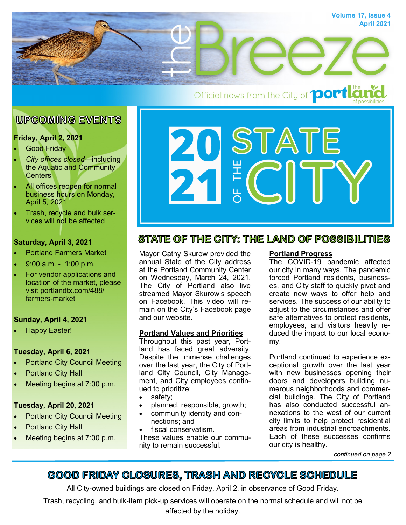

# **UPCOMING EVENTS**

# **Friday, April 2, 2021**

- **Good Friday**
- *City offices closed*—including the Aquatic and Community **Centers**
- All offices reopen for normal business hours on Monday, April 5, 2021
- Trash, recycle and bulk services will not be affected

# **Saturday, April 3, 2021**

- Portland Farmers Market
- 9:00 a.m. 1:00 p.m.
- For vendor applications and location of the market, please visit [portlandtx.com/488/](http://portlandtx.com/488/Farmers-Market) [farmers-market](http://portlandtx.com/488/Farmers-Market)

# **Sunday, April 4, 2021**

• Happy Easter!

# **Tuesday, April 6, 2021**

- Portland City Council Meeting
- **Portland City Hall**
- Meeting begins at 7:00 p.m.

### **Tuesday, April 20, 2021**

- **Portland City Council Meeting**
- **Portland City Hall**
- Meeting begins at 7:00 p.m.



# STATE OF THE CITY: THE LAND OF POSSIBILITIES

Mayor Cathy Skurow provided the annual State of the City address at the Portland Community Center on Wednesday, March 24, 2021. The City of Portland also live streamed Mayor Skurow's speech on Facebook. This video will remain on the City's Facebook page and our website.

# **Portland Values and Priorities**

Throughout this past year, Portland has faced great adversity. Despite the immense challenges over the last year, the City of Portland City Council, City Management, and City employees continued to prioritize:

- safety;
- planned, responsible, growth;
- community identity and connections; and
- fiscal conservatism.

These values enable our community to remain successful.

### **Portland Progress**

The COVID-19 pandemic affected our city in many ways. The pandemic forced Portland residents, businesses, and City staff to quickly pivot and create new ways to offer help and services. The success of our ability to adjust to the circumstances and offer safe alternatives to protect residents, employees, and visitors heavily reduced the impact to our local economy.

Portland continued to experience exceptional growth over the last year with new businesses opening their doors and developers building numerous neighborhoods and commercial buildings. The City of Portland has also conducted successful annexations to the west of our current city limits to help protect residential areas from industrial encroachments. Each of these successes confirms our city is healthy.

*...continued on page 2*

# GOOD FRIDAY CLOSURES, TRASH AND RECYCLE SCHEDULE

All City-owned buildings are closed on Friday, April 2, in observance of Good Friday.

Trash, recycling, and bulk-item pick-up services will operate on the normal schedule and will not be affected by the holiday.